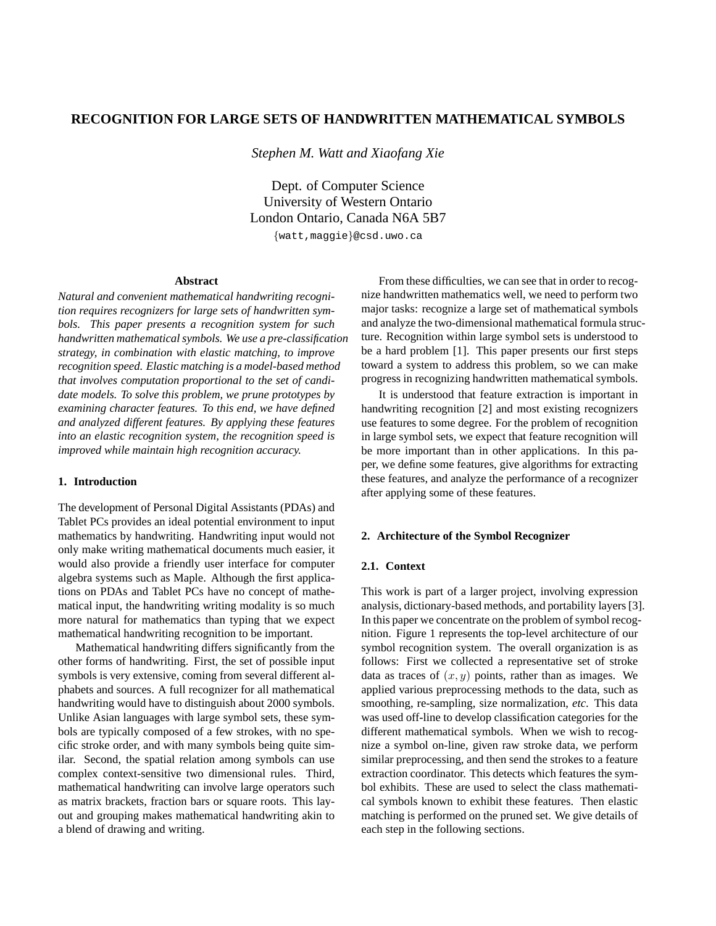# **RECOGNITION FOR LARGE SETS OF HANDWRITTEN MATHEMATICAL SYMBOLS**

*Stephen M. Watt and Xiaofang Xie*

Dept. of Computer Science University of Western Ontario London Ontario, Canada N6A 5B7

{watt,maggie}@csd.uwo.ca

### **Abstract**

*Natural and convenient mathematical handwriting recognition requires recognizers for large sets of handwritten symbols. This paper presents a recognition system for such handwritten mathematical symbols. We use a pre-classification strategy, in combination with elastic matching, to improve recognition speed. Elastic matching is a model-based method that involves computation proportional to the set of candidate models. To solve this problem, we prune prototypes by examining character features. To this end, we have defined and analyzed different features. By applying these features into an elastic recognition system, the recognition speed is improved while maintain high recognition accuracy.*

# **1. Introduction**

The development of Personal Digital Assistants (PDAs) and Tablet PCs provides an ideal potential environment to input mathematics by handwriting. Handwriting input would not only make writing mathematical documents much easier, it would also provide a friendly user interface for computer algebra systems such as Maple. Although the first applications on PDAs and Tablet PCs have no concept of mathematical input, the handwriting writing modality is so much more natural for mathematics than typing that we expect mathematical handwriting recognition to be important.

Mathematical handwriting differs significantly from the other forms of handwriting. First, the set of possible input symbols is very extensive, coming from several different alphabets and sources. A full recognizer for all mathematical handwriting would have to distinguish about 2000 symbols. Unlike Asian languages with large symbol sets, these symbols are typically composed of a few strokes, with no specific stroke order, and with many symbols being quite similar. Second, the spatial relation among symbols can use complex context-sensitive two dimensional rules. Third, mathematical handwriting can involve large operators such as matrix brackets, fraction bars or square roots. This layout and grouping makes mathematical handwriting akin to a blend of drawing and writing.

From these difficulties, we can see that in order to recognize handwritten mathematics well, we need to perform two major tasks: recognize a large set of mathematical symbols and analyze the two-dimensional mathematical formula structure. Recognition within large symbol sets is understood to be a hard problem [1]. This paper presents our first steps toward a system to address this problem, so we can make progress in recognizing handwritten mathematical symbols.

It is understood that feature extraction is important in handwriting recognition [2] and most existing recognizers use features to some degree. For the problem of recognition in large symbol sets, we expect that feature recognition will be more important than in other applications. In this paper, we define some features, give algorithms for extracting these features, and analyze the performance of a recognizer after applying some of these features.

#### **2. Architecture of the Symbol Recognizer**

# **2.1. Context**

This work is part of a larger project, involving expression analysis, dictionary-based methods, and portability layers [3]. In this paper we concentrate on the problem of symbol recognition. Figure 1 represents the top-level architecture of our symbol recognition system. The overall organization is as follows: First we collected a representative set of stroke data as traces of  $(x, y)$  points, rather than as images. We applied various preprocessing methods to the data, such as smoothing, re-sampling, size normalization, *etc*. This data was used off-line to develop classification categories for the different mathematical symbols. When we wish to recognize a symbol on-line, given raw stroke data, we perform similar preprocessing, and then send the strokes to a feature extraction coordinator. This detects which features the symbol exhibits. These are used to select the class mathematical symbols known to exhibit these features. Then elastic matching is performed on the pruned set. We give details of each step in the following sections.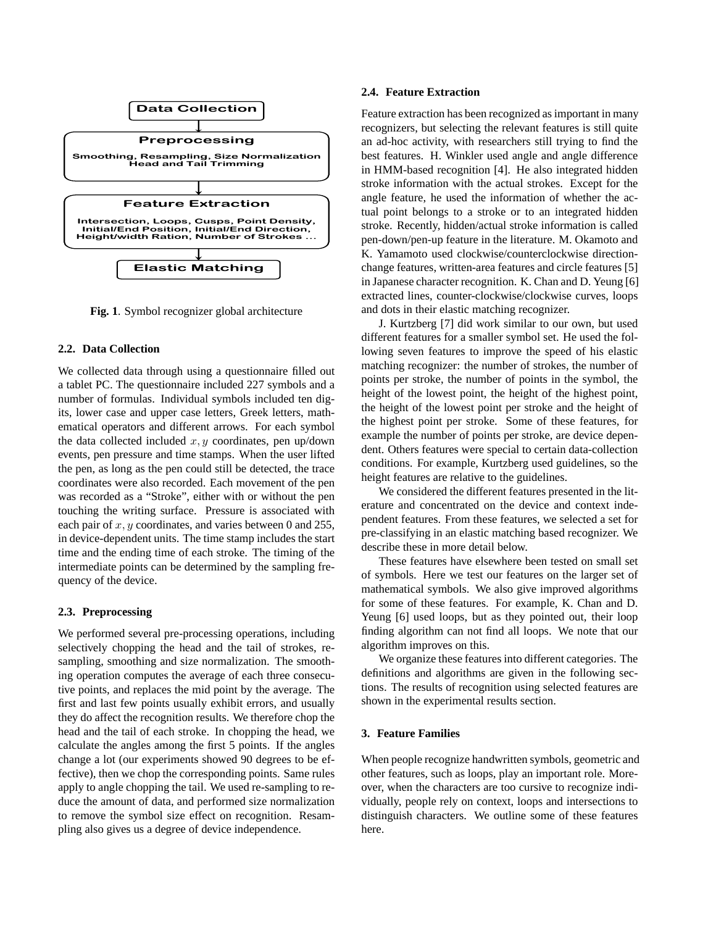

**Fig. 1**. Symbol recognizer global architecture

### **2.2. Data Collection**

We collected data through using a questionnaire filled out a tablet PC. The questionnaire included 227 symbols and a number of formulas. Individual symbols included ten digits, lower case and upper case letters, Greek letters, mathematical operators and different arrows. For each symbol the data collected included  $x, y$  coordinates, pen up/down events, pen pressure and time stamps. When the user lifted the pen, as long as the pen could still be detected, the trace coordinates were also recorded. Each movement of the pen was recorded as a "Stroke", either with or without the pen touching the writing surface. Pressure is associated with each pair of  $x, y$  coordinates, and varies between 0 and 255, in device-dependent units. The time stamp includes the start time and the ending time of each stroke. The timing of the intermediate points can be determined by the sampling frequency of the device.

### **2.3. Preprocessing**

We performed several pre-processing operations, including selectively chopping the head and the tail of strokes, resampling, smoothing and size normalization. The smoothing operation computes the average of each three consecutive points, and replaces the mid point by the average. The first and last few points usually exhibit errors, and usually they do affect the recognition results. We therefore chop the head and the tail of each stroke. In chopping the head, we calculate the angles among the first 5 points. If the angles change a lot (our experiments showed 90 degrees to be effective), then we chop the corresponding points. Same rules apply to angle chopping the tail. We used re-sampling to reduce the amount of data, and performed size normalization to remove the symbol size effect on recognition. Resampling also gives us a degree of device independence.

### **2.4. Feature Extraction**

Feature extraction has been recognized as important in many recognizers, but selecting the relevant features is still quite an ad-hoc activity, with researchers still trying to find the best features. H. Winkler used angle and angle difference in HMM-based recognition [4]. He also integrated hidden stroke information with the actual strokes. Except for the angle feature, he used the information of whether the actual point belongs to a stroke or to an integrated hidden stroke. Recently, hidden/actual stroke information is called pen-down/pen-up feature in the literature. M. Okamoto and K. Yamamoto used clockwise/counterclockwise directionchange features, written-area features and circle features [5] in Japanese character recognition. K. Chan and D. Yeung [6] extracted lines, counter-clockwise/clockwise curves, loops and dots in their elastic matching recognizer.

J. Kurtzberg [7] did work similar to our own, but used different features for a smaller symbol set. He used the following seven features to improve the speed of his elastic matching recognizer: the number of strokes, the number of points per stroke, the number of points in the symbol, the height of the lowest point, the height of the highest point, the height of the lowest point per stroke and the height of the highest point per stroke. Some of these features, for example the number of points per stroke, are device dependent. Others features were special to certain data-collection conditions. For example, Kurtzberg used guidelines, so the height features are relative to the guidelines.

We considered the different features presented in the literature and concentrated on the device and context independent features. From these features, we selected a set for pre-classifying in an elastic matching based recognizer. We describe these in more detail below.

These features have elsewhere been tested on small set of symbols. Here we test our features on the larger set of mathematical symbols. We also give improved algorithms for some of these features. For example, K. Chan and D. Yeung [6] used loops, but as they pointed out, their loop finding algorithm can not find all loops. We note that our algorithm improves on this.

We organize these features into different categories. The definitions and algorithms are given in the following sections. The results of recognition using selected features are shown in the experimental results section.

### **3. Feature Families**

When people recognize handwritten symbols, geometric and other features, such as loops, play an important role. Moreover, when the characters are too cursive to recognize individually, people rely on context, loops and intersections to distinguish characters. We outline some of these features here.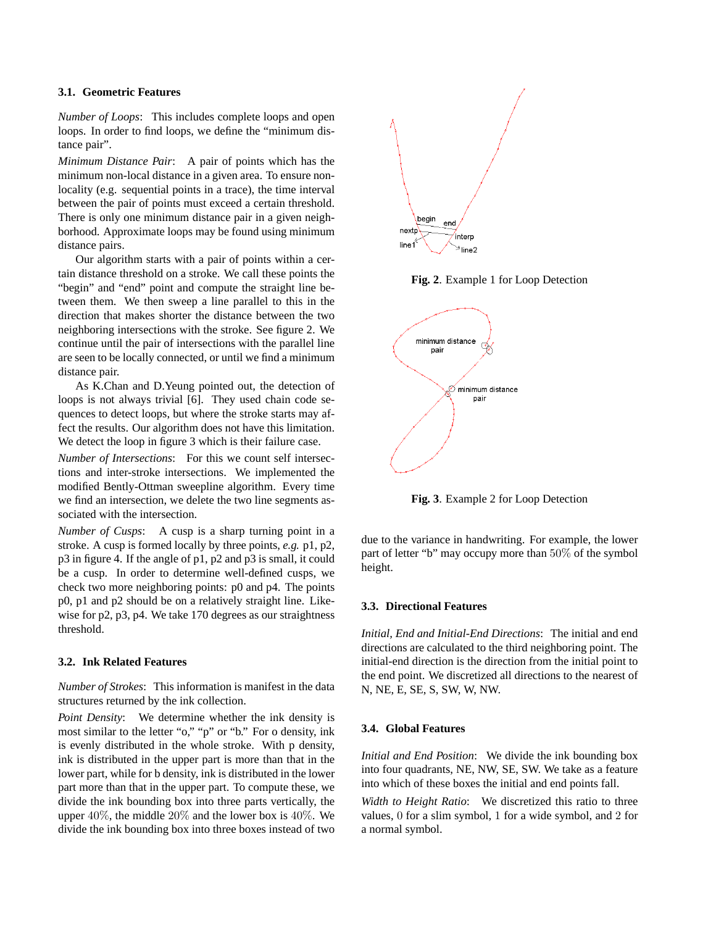### **3.1. Geometric Features**

*Number of Loops*: This includes complete loops and open loops. In order to find loops, we define the "minimum distance pair".

*Minimum Distance Pair*: A pair of points which has the minimum non-local distance in a given area. To ensure nonlocality (e.g. sequential points in a trace), the time interval between the pair of points must exceed a certain threshold. There is only one minimum distance pair in a given neighborhood. Approximate loops may be found using minimum distance pairs.

Our algorithm starts with a pair of points within a certain distance threshold on a stroke. We call these points the "begin" and "end" point and compute the straight line between them. We then sweep a line parallel to this in the direction that makes shorter the distance between the two neighboring intersections with the stroke. See figure 2. We continue until the pair of intersections with the parallel line are seen to be locally connected, or until we find a minimum distance pair.

As K.Chan and D.Yeung pointed out, the detection of loops is not always trivial [6]. They used chain code sequences to detect loops, but where the stroke starts may affect the results. Our algorithm does not have this limitation. We detect the loop in figure 3 which is their failure case.

*Number of Intersections*: For this we count self intersections and inter-stroke intersections. We implemented the modified Bently-Ottman sweepline algorithm. Every time we find an intersection, we delete the two line segments associated with the intersection.

*Number of Cusps*: A cusp is a sharp turning point in a stroke. A cusp is formed locally by three points, *e.g.* p1, p2, p3 in figure 4. If the angle of p1, p2 and p3 is small, it could be a cusp. In order to determine well-defined cusps, we check two more neighboring points: p0 and p4. The points p0, p1 and p2 should be on a relatively straight line. Likewise for p2, p3, p4. We take 170 degrees as our straightness threshold.

## **3.2. Ink Related Features**

*Number of Strokes*: This information is manifest in the data structures returned by the ink collection.

*Point Density*: We determine whether the ink density is most similar to the letter "o," "p" or "b." For o density, ink is evenly distributed in the whole stroke. With p density, ink is distributed in the upper part is more than that in the lower part, while for b density, ink is distributed in the lower part more than that in the upper part. To compute these, we divide the ink bounding box into three parts vertically, the upper 40%, the middle 20% and the lower box is 40%. We divide the ink bounding box into three boxes instead of two



**Fig. 2**. Example 1 for Loop Detection



**Fig. 3**. Example 2 for Loop Detection

due to the variance in handwriting. For example, the lower part of letter "b" may occupy more than 50% of the symbol height.

#### **3.3. Directional Features**

*Initial, End and Initial-End Directions*: The initial and end directions are calculated to the third neighboring point. The initial-end direction is the direction from the initial point to the end point. We discretized all directions to the nearest of N, NE, E, SE, S, SW, W, NW.

### **3.4. Global Features**

*Initial and End Position*: We divide the ink bounding box into four quadrants, NE, NW, SE, SW. We take as a feature into which of these boxes the initial and end points fall.

*Width to Height Ratio*: We discretized this ratio to three values, 0 for a slim symbol, 1 for a wide symbol, and 2 for a normal symbol.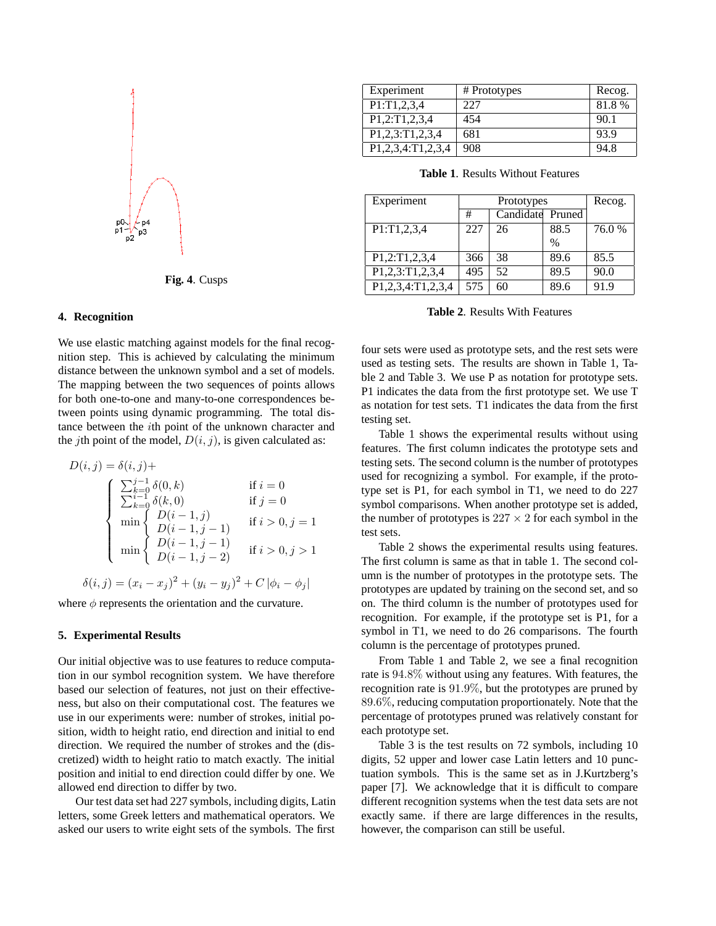

**Fig. 4**. Cusps

#### **4. Recognition**

We use elastic matching against models for the final recognition step. This is achieved by calculating the minimum distance between the unknown symbol and a set of models. The mapping between the two sequences of points allows for both one-to-one and many-to-one correspondences between points using dynamic programming. The total distance between the ith point of the unknown character and the *j*th point of the model,  $D(i, j)$ , is given calculated as:

$$
D(i,j) = \delta(i,j) + \n\begin{cases} \n\sum_{k=0}^{j-1} \delta(0,k) & \text{if } i = 0 \\
\sum_{k=0}^{i-1} \delta(k,0) & \text{if } j = 0 \\
\min \n\begin{cases} \nD(i-1,j) & \text{if } i > 0, j = 1 \\
D(i-1,j-1) & \text{if } i > 0, j > 1 \\
\min \n\end{cases} \\
\min \n\begin{cases} \nD(i-1,j-1) & \text{if } i > 0, j > 1 \\
D(i-1,j-2) & \text{if } i > 0, j > 1 \\
D(i-1,j-2) & \text{if } i > 0, j > 1\n\end{cases}\n\delta(i,j) = (x_i - x_j)^2 + (y_i - y_j)^2 + C |\phi_i - \phi_j|
$$

where  $\phi$  represents the orientation and the curvature.

#### **5. Experimental Results**

Our initial objective was to use features to reduce computation in our symbol recognition system. We have therefore based our selection of features, not just on their effectiveness, but also on their computational cost. The features we use in our experiments were: number of strokes, initial position, width to height ratio, end direction and initial to end direction. We required the number of strokes and the (discretized) width to height ratio to match exactly. The initial position and initial to end direction could differ by one. We allowed end direction to differ by two.

Our test data set had 227 symbols, including digits, Latin letters, some Greek letters and mathematical operators. We asked our users to write eight sets of the symbols. The first

| Experiment                                | # Prototypes | Recog. |
|-------------------------------------------|--------------|--------|
| P1: T1, 2, 3, 4                           | 227          | 81.8%  |
| P <sub>1</sub> ,2:T <sub>1</sub> ,2,3,4   | 454          | 90.1   |
| P <sub>1</sub> ,2,3:T <sub>1</sub> ,2,3,4 | 681          | 93.9   |
| P1,2,3,4:T1,2,3,4                         | 908          | 94.8   |

**Table 1**. Results Without Features

| Experiment                              |     | Recog.           |               |       |
|-----------------------------------------|-----|------------------|---------------|-------|
|                                         | #   | Candidate Pruned |               |       |
| P1:T1,2,3,4                             | 227 | 26               | 88.5          | 76.0% |
|                                         |     |                  | $\frac{0}{0}$ |       |
| P <sub>1</sub> ,2:T <sub>1</sub> ,2,3,4 | 366 | 38               | 89.6          | 85.5  |
| P1,2,3:T1,2,3,4                         | 495 | 52               | 89.5          | 90.0  |
| P1,2,3,4:T1,2,3,4                       | 575 | 60               | 89.6          | 91.9  |

**Table 2**. Results With Features

four sets were used as prototype sets, and the rest sets were used as testing sets. The results are shown in Table 1, Table 2 and Table 3. We use P as notation for prototype sets. P1 indicates the data from the first prototype set. We use T as notation for test sets. T1 indicates the data from the first testing set.

Table 1 shows the experimental results without using features. The first column indicates the prototype sets and testing sets. The second column is the number of prototypes used for recognizing a symbol. For example, if the prototype set is P1, for each symbol in T1, we need to do 227 symbol comparisons. When another prototype set is added, the number of prototypes is  $227 \times 2$  for each symbol in the test sets.

Table 2 shows the experimental results using features. The first column is same as that in table 1. The second column is the number of prototypes in the prototype sets. The prototypes are updated by training on the second set, and so on. The third column is the number of prototypes used for recognition. For example, if the prototype set is P1, for a symbol in T1, we need to do 26 comparisons. The fourth column is the percentage of prototypes pruned.

From Table 1 and Table 2, we see a final recognition rate is 94.8% without using any features. With features, the recognition rate is 91.9%, but the prototypes are pruned by 89.6%, reducing computation proportionately. Note that the percentage of prototypes pruned was relatively constant for each prototype set.

Table 3 is the test results on 72 symbols, including 10 digits, 52 upper and lower case Latin letters and 10 punctuation symbols. This is the same set as in J.Kurtzberg's paper [7]. We acknowledge that it is difficult to compare different recognition systems when the test data sets are not exactly same. if there are large differences in the results, however, the comparison can still be useful.